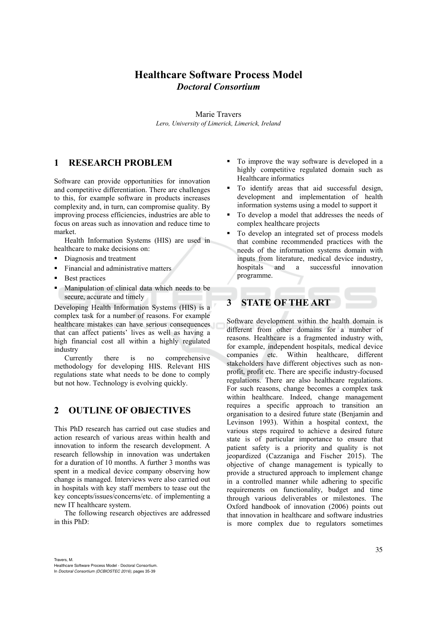## **Healthcare Software Process Model**  *Doctoral Consortium*

Marie Travers *Lero, University of Limerick, Limerick, Ireland* 

#### **1 RESEARCH PROBLEM**

Software can provide opportunities for innovation and competitive differentiation. There are challenges to this, for example software in products increases complexity and, in turn, can compromise quality. By improving process efficiencies, industries are able to focus on areas such as innovation and reduce time to market.

Health Information Systems (HIS) are used in healthcare to make decisions on:

- Diagnosis and treatment
- Financial and administrative matters
- Best practices
- Manipulation of clinical data which needs to be secure, accurate and timely

Developing Health Information Systems (HIS) is a complex task for a number of reasons. For example healthcare mistakes can have serious consequences that can affect patients' lives as well as having a high financial cost all within a highly regulated industry

Currently there is no comprehensive methodology for developing HIS. Relevant HIS regulations state what needs to be done to comply but not how. Technology is evolving quickly.

#### **2 OUTLINE OF OBJECTIVES**

This PhD research has carried out case studies and action research of various areas within health and innovation to inform the research development. A research fellowship in innovation was undertaken for a duration of 10 months. A further 3 months was spent in a medical device company observing how change is managed. Interviews were also carried out in hospitals with key staff members to tease out the key concepts/issues/concerns/etc. of implementing a new IT healthcare system.

The following research objectives are addressed in this PhD:

- To improve the way software is developed in a highly competitive regulated domain such as Healthcare informatics
- To identify areas that aid successful design, development and implementation of health information systems using a model to support it
- To develop a model that addresses the needs of complex healthcare projects
- To develop an integrated set of process models that combine recommended practices with the needs of the information systems domain with inputs from literature, medical device industry, hospitals and a successful innovation programme.

## **3 STATE OF THE ART**

Software development within the health domain is different from other domains for a number of reasons. Healthcare is a fragmented industry with, for example, independent hospitals, medical device companies etc. Within healthcare, different stakeholders have different objectives such as nonprofit, profit etc. There are specific industry-focused regulations. There are also healthcare regulations. For such reasons, change becomes a complex task within healthcare. Indeed, change management requires a specific approach to transition an organisation to a desired future state (Benjamin and Levinson 1993). Within a hospital context, the various steps required to achieve a desired future state is of particular importance to ensure that patient safety is a priority and quality is not jeopardized (Cazzaniga and Fischer 2015). The objective of change management is typically to provide a structured approach to implement change in a controlled manner while adhering to specific requirements on functionality, budget and time through various deliverables or milestones. The Oxford handbook of innovation (2006) points out that innovation in healthcare and software industries is more complex due to regulators sometimes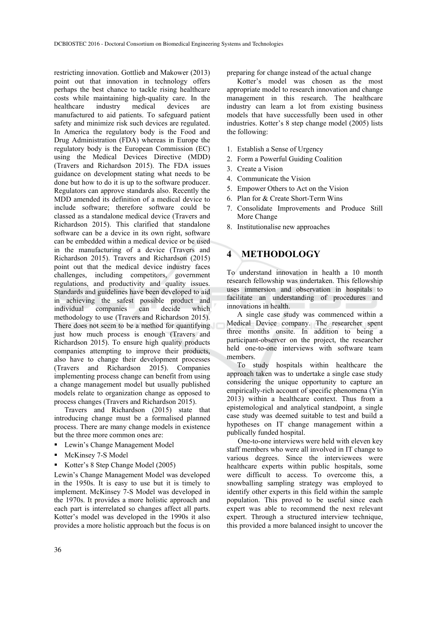restricting innovation. Gottlieb and Makower (2013) point out that innovation in technology offers perhaps the best chance to tackle rising healthcare costs while maintaining high-quality care. In the healthcare industry medical devices are manufactured to aid patients. To safeguard patient safety and minimize risk such devices are regulated. In America the regulatory body is the Food and Drug Administration (FDA) whereas in Europe the regulatory body is the European Commission (EC) using the Medical Devices Directive (MDD) (Travers and Richardson 2015). The FDA issues guidance on development stating what needs to be done but how to do it is up to the software producer. Regulators can approve standards also. Recently the MDD amended its definition of a medical device to include software; therefore software could be classed as a standalone medical device (Travers and Richardson 2015). This clarified that standalone software can be a device in its own right, software can be embedded within a medical device or be used in the manufacturing of a device (Travers and Richardson 2015). Travers and Richardson (2015) point out that the medical device industry faces challenges, including competitors, government regulations, and productivity and quality issues. Standards and guidelines have been developed to aid in achieving the safest possible product and<br>individual companies can decide which individual companies can decide which methodology to use (Travers and Richardson 2015). There does not seem to be a method for quantifying just how much process is enough (Travers and Richardson 2015). To ensure high quality products companies attempting to improve their products, also have to change their development processes (Travers and Richardson 2015). Companies implementing process change can benefit from using a change management model but usually published models relate to organization change as opposed to process changes (Travers and Richardson 2015).

Travers and Richardson (2015) state that introducing change must be a formalised planned process. There are many change models in existence but the three more common ones are:

- Lewin's Change Management Model
- **McKinsey 7-S Model**
- Kotter's 8 Step Change Model (2005)

Lewin's Change Management Model was developed in the 1950s. It is easy to use but it is timely to implement. McKinsey 7-S Model was developed in the 1970s. It provides a more holistic approach and each part is interrelated so changes affect all parts. Kotter's model was developed in the 1990s it also provides a more holistic approach but the focus is on preparing for change instead of the actual change

Kotter's model was chosen as the most appropriate model to research innovation and change management in this research. The healthcare industry can learn a lot from existing business models that have successfully been used in other industries. Kotter's 8 step change model (2005) lists the following:

- 1. Establish a Sense of Urgency
- 2. Form a Powerful Guiding Coalition
- 3. Create a Vision
- 4. Communicate the Vision
- 5. Empower Others to Act on the Vision
- 6. Plan for & Create Short-Term Wins
- 7. Consolidate Improvements and Produce Still More Change
- 8. Institutionalise new approaches

## **4 METHODOLOGY**

To understand innovation in health a 10 month research fellowship was undertaken. This fellowship uses immersion and observation in hospitals to facilitate an understanding of procedures and innovations in health.

A single case study was commenced within a Medical Device company. The researcher spent three months onsite. In addition to being a participant-observer on the project, the researcher held one-to-one interviews with software team members.

To study hospitals within healthcare the approach taken was to undertake a single case study considering the unique opportunity to capture an empirically-rich account of specific phenomena (Yin 2013) within a healthcare context. Thus from a epistemological and analytical standpoint, a single case study was deemed suitable to test and build a hypotheses on IT change management within a publically funded hospital.

One-to-one interviews were held with eleven key staff members who were all involved in IT change to various degrees. Since the interviewees were healthcare experts within public hospitals, some were difficult to access. To overcome this, a snowballing sampling strategy was employed to identify other experts in this field within the sample population. This proved to be useful since each expert was able to recommend the next relevant expert. Through a structured interview technique, this provided a more balanced insight to uncover the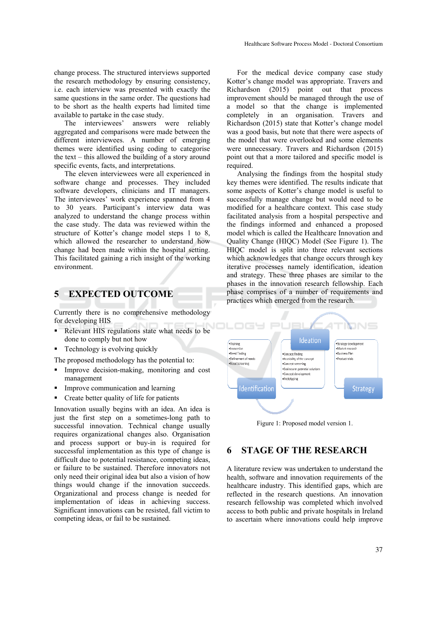change process. The structured interviews supported the research methodology by ensuring consistency, i.e. each interview was presented with exactly the same questions in the same order. The questions had to be short as the health experts had limited time available to partake in the case study.

The interviewees' answers were reliably aggregated and comparisons were made between the different interviewees. A number of emerging themes were identified using coding to categorise the text – this allowed the building of a story around specific events, facts, and interpretations.

The eleven interviewees were all experienced in software change and processes. They included software developers, clinicians and IT managers. The interviewees' work experience spanned from 4 to 30 years. Participant's interview data was analyzed to understand the change process within the case study. The data was reviewed within the structure of Kotter's change model steps 1 to 8. which allowed the researcher to understand how change had been made within the hospital setting. This facilitated gaining a rich insight of the working environment.

### **5 EXPECTED OUTCOME**

Currently there is no comprehensive methodology for developing HIS

- Relevant HIS regulations state what needs to be done to comply but not how
- **Technology is evolving quickly**

The proposed methodology has the potential to:

- Improve decision-making, monitoring and cost management
- Improve communication and learning
- Create better quality of life for patients

Innovation usually begins with an idea. An idea is just the first step on a sometimes-long path to successful innovation. Technical change usually requires organizational changes also. Organisation and process support or buy-in is required for successful implementation as this type of change is difficult due to potential resistance, competing ideas, or failure to be sustained. Therefore innovators not only need their original idea but also a vision of how things would change if the innovation succeeds. Organizational and process change is needed for implementation of ideas in achieving success. Significant innovations can be resisted, fall victim to competing ideas, or fail to be sustained.

For the medical device company case study Kotter's change model was appropriate. Travers and Richardson (2015) point out that process improvement should be managed through the use of a model so that the change is implemented completely in an organisation. Travers and Richardson (2015) state that Kotter's change model was a good basis, but note that there were aspects of the model that were overlooked and some elements were unnecessary. Travers and Richardson (2015) point out that a more tailored and specific model is required.

Analysing the findings from the hospital study key themes were identified. The results indicate that some aspects of Kotter's change model is useful to successfully manage change but would need to be modified for a healthcare context. This case study facilitated analysis from a hospital perspective and the findings informed and enhanced a proposed model which is called the Healthcare Innovation and Quality Change (HIQC) Model (See Figure 1). The HIQC model is split into three relevant sections which acknowledges that change occurs through key iterative processes namely identification, ideation and strategy. These three phases are similar to the phases in the innovation research fellowship. Each phase comprises of a number of requirements and practices which emerged from the research.



Figure 1: Proposed model version 1.

#### **6 STAGE OF THE RESEARCH**

A literature review was undertaken to understand the health, software and innovation requirements of the healthcare industry. This identified gaps, which are reflected in the research questions. An innovation research fellowship was completed which involved access to both public and private hospitals in Ireland to ascertain where innovations could help improve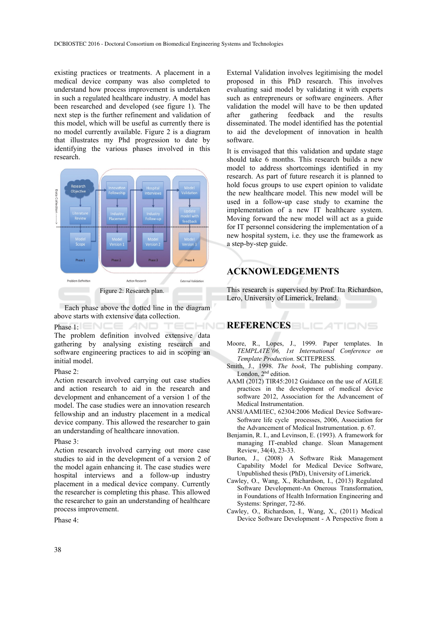existing practices or treatments. A placement in a medical device company was also completed to understand how process improvement is undertaken in such a regulated healthcare industry. A model has been researched and developed (see figure 1). The next step is the further refinement and validation of this model, which will be useful as currently there is no model currently available. Figure 2 is a diagram that illustrates my Phd progression to date by identifying the various phases involved in this research.



Each phase above the dotted line in the diagram above starts with extensive data collection.

ECHNO

Phase 1: NEE AND

The problem definition involved extensive data gathering by analysing existing research and software engineering practices to aid in scoping an initial model.

#### Phase 2:

Action research involved carrying out case studies and action research to aid in the research and development and enhancement of a version 1 of the model. The case studies were an innovation research fellowship and an industry placement in a medical device company. This allowed the researcher to gain an understanding of healthcare innovation.

#### Phase 3:

Action research involved carrying out more case studies to aid in the development of a version 2 of the model again enhancing it. The case studies were hospital interviews and a follow-up industry placement in a medical device company. Currently the researcher is completing this phase. This allowed the researcher to gain an understanding of healthcare process improvement.

Phase 4:

External Validation involves legitimising the model proposed in this PhD research. This involves evaluating said model by validating it with experts such as entrepreneurs or software engineers. After validation the model will have to be then updated after gathering feedback and the results disseminated. The model identified has the potential to aid the development of innovation in health software.

It is envisaged that this validation and update stage should take 6 months. This research builds a new model to address shortcomings identified in my research. As part of future research it is planned to hold focus groups to use expert opinion to validate the new healthcare model. This new model will be used in a follow-up case study to examine the implementation of a new IT healthcare system. Moving forward the new model will act as a guide for IT personnel considering the implementation of a new hospital system, i.e. they use the framework as a step-by-step guide.

#### **ACKNOWLEDGEMENTS**

This research is supervised by Prof. Ita Richardson, Lero, University of Limerick, Ireland.

# **REFERENCES** BLIEATIONS

- Moore, R., Lopes, J., 1999. Paper templates. In *TEMPLATE'06, 1st International Conference on Template Production*. SCITEPRESS.
- Smith, J., 1998. *The book*, The publishing company. London, 2<sup>nd</sup> edition.
- AAMI (2012) TIR45:2012 Guidance on the use of AGILE practices in the development of medical device software 2012, Association for the Advancement of Medical Instrumentation.
- ANSI/AAMI/IEC, 62304:2006 Medical Device Software-Software life cycle processes, 2006, Association for the Advancement of Medical Instrumentation. p. 67.
- Benjamin, R. I., and Levinson, E. (1993). A framework for managing IT-enabled change. Sloan Management Review, 34(4), 23-33.
- Burton, J., (2008) A Software Risk Management Capability Model for Medical Device Software, Unpublished thesis (PhD), University of Limerick.
- Cawley, O., Wang, X., Richardson, I., (2013) Regulated Software Development-An Onerous Transformation, in Foundations of Health Information Engineering and Systems: Springer, 72-86.
- Cawley, O., Richardson, I., Wang, X., (2011) Medical Device Software Development - A Perspective from a